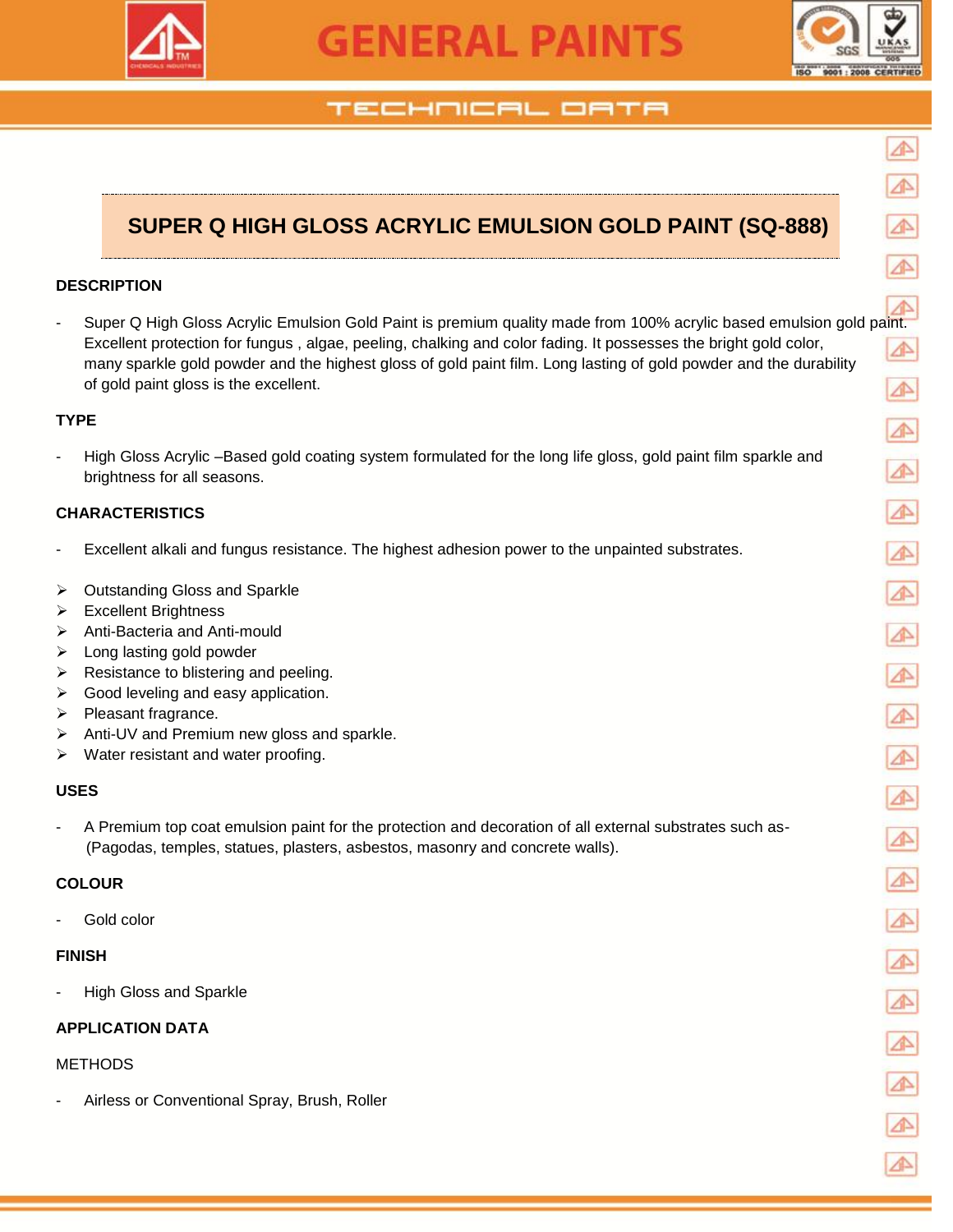

# **GENERAL PAINTS**



## TECHNICAL OATA

# **SUPER Q HIGH GLOSS ACRYLIC EMULSION GOLD PAINT (SQ-888)**

#### **DESCRIPTION**

- Super Q High Gloss Acrylic Emulsion Gold Paint is premium quality made from 100% acrylic based emulsion gold paint. Excellent protection for fungus , algae, peeling, chalking and color fading. It possesses the bright gold color, many sparkle gold powder and the highest gloss of gold paint film. Long lasting of gold powder and the durability of gold paint gloss is the excellent.

#### **TYPE**

High Gloss Acrylic –Based gold coating system formulated for the long life gloss, gold paint film sparkle and brightness for all seasons.

#### **CHARACTERISTICS**

- Excellent alkali and fungus resistance. The highest adhesion power to the unpainted substrates.
- **▶ Outstanding Gloss and Sparkle**
- > Excellent Brightness
- Anti-Bacteria and Anti-mould
- $\triangleright$  Long lasting gold powder
- $\triangleright$  Resistance to blistering and peeling.
- $\triangleright$  Good leveling and easy application.
- $\triangleright$  Pleasant fragrance.
- > Anti-UV and Premium new gloss and sparkle.
- $\triangleright$  Water resistant and water proofing.

#### **USES**

A Premium top coat emulsion paint for the protection and decoration of all external substrates such as-(Pagodas, temples, statues, plasters, asbestos, masonry and concrete walls).

#### **COLOUR**

Gold color

#### **FINISH**

High Gloss and Sparkle

#### **APPLICATION DATA**

#### METHODS

- Airless or Conventional Spray, Brush, Roller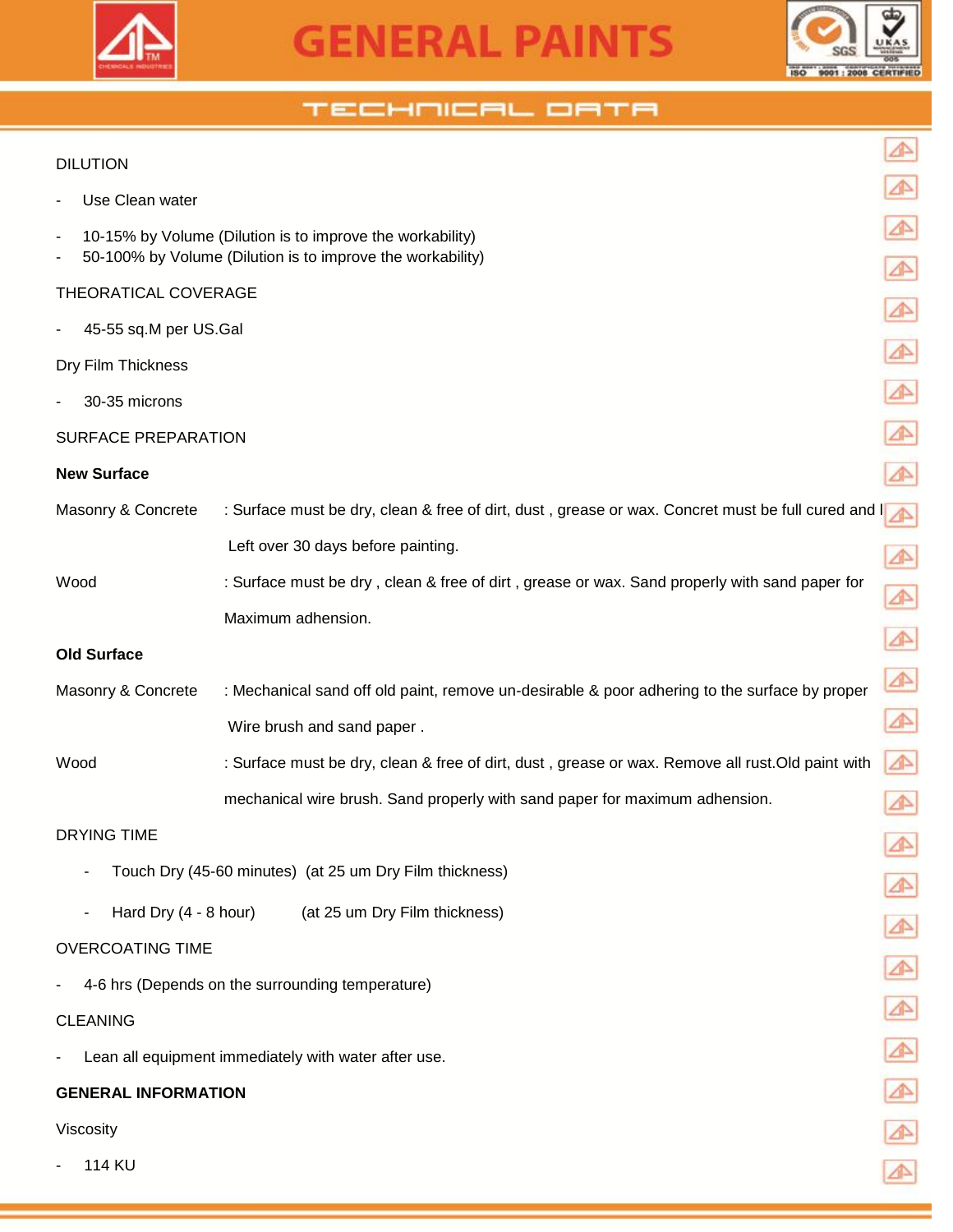



⚠

⚠

 $\triangle$ 

⚠

⚠

⚠

⚠

 $\blacktriangle$ 

 $\blacktriangle$ 

 $\blacktriangle$ 

 $\blacktriangle$ 

⚠

⚠

⚠

⚠

⚠

⚠

⚠

 $\triangle$ 

 $\blacktriangle$ 

### TECHNICAL ORTA

#### DILUTION

- Use Clean water
- 10-15% by Volume (Dilution is to improve the workability)
- 50-100% by Volume (Dilution is to improve the workability)

#### THEORATICAL COVERAGE

45-55 sq.M per US.Gal

Dry Film Thickness

30-35 microns

#### SURFACE PREPARATION

#### **New Surface**

| Masonry & Concrete | : Surface must be dry, clean & free of dirt, dust, grease or wax. Concret must be full cured and I |  |
|--------------------|----------------------------------------------------------------------------------------------------|--|
|                    | Left over 30 days before painting.                                                                 |  |
| Wood               | : Surface must be dry, clean & free of dirt, grease or wax. Sand properly with sand paper for      |  |
|                    | Maximum adhension.                                                                                 |  |
|                    |                                                                                                    |  |

#### **Old Surface**

| Masonry & Concrete | : Mechanical sand off old paint, remove un-desirable & poor adhering to the surface by proper |
|--------------------|-----------------------------------------------------------------------------------------------|
|                    | Wire brush and sand paper.                                                                    |

Wood : Surface must be dry, clean & free of dirt, dust, grease or wax. Remove all rust. Old paint with mechanical wire brush. Sand properly with sand paper for maximum adhension.

#### DRYING TIME

- Touch Dry (45-60 minutes) (at 25 um Dry Film thickness)
- Hard Dry (4 8 hour) (at 25 um Dry Film thickness)

#### OVERCOATING TIME

4-6 hrs (Depends on the surrounding temperature)

#### CLEANING

Lean all equipment immediately with water after use.

#### **GENERAL INFORMATION**

#### Viscosity

114 KU